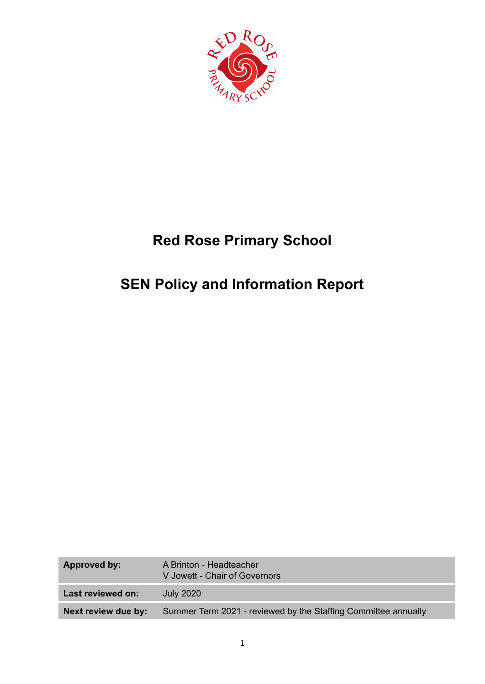

# **Red Rose Primary School**

# **SEN Policy and Information Report**

| <b>Approved by:</b> | A Brinton - Headteacher<br>V Jowett - Chair of Governors       |
|---------------------|----------------------------------------------------------------|
| Last reviewed on:   | <b>July 2020</b>                                               |
| Next review due by: | Summer Term 2021 - reviewed by the Staffing Committee annually |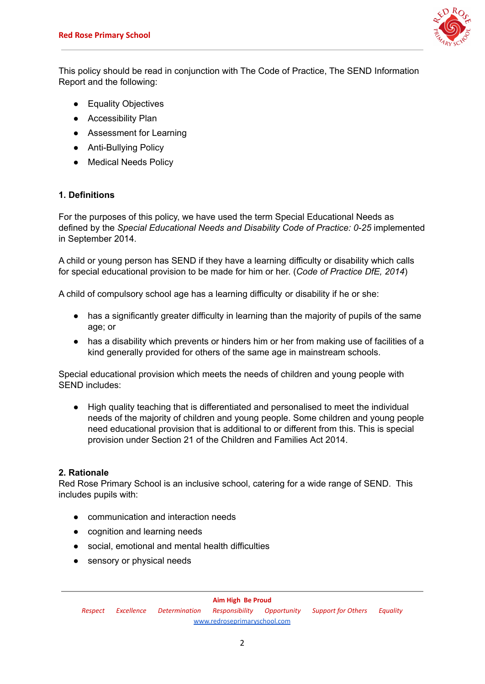

This policy should be read in conjunction with The Code of Practice, The SEND Information Report and the following:

- Equality Objectives
- Accessibility Plan
- Assessment for Learning
- Anti-Bullving Policy
- Medical Needs Policy

# **1. Definitions**

For the purposes of this policy, we have used the term Special Educational Needs as defined by the *Special Educational Needs and Disability Code of Practice: 0-25* implemented in September 2014.

A child or young person has SEND if they have a learning difficulty or disability which calls for special educational provision to be made for him or her. (*Code of Practice DfE, 2014*)

A child of compulsory school age has a learning difficulty or disability if he or she:

- has a significantly greater difficulty in learning than the majority of pupils of the same age; or
- has a disability which prevents or hinders him or her from making use of facilities of a kind generally provided for others of the same age in mainstream schools.

Special educational provision which meets the needs of children and young people with SEND includes:

● High quality teaching that is differentiated and personalised to meet the individual needs of the majority of children and young people. Some children and young people need educational provision that is additional to or different from this. This is special provision under Section 21 of the Children and Families Act 2014.

## **2. Rationale**

Red Rose Primary School is an inclusive school, catering for a wide range of SEND. This includes pupils with:

- communication and interaction needs
- cognition and learning needs
- social, emotional and mental health difficulties
- sensory or physical needs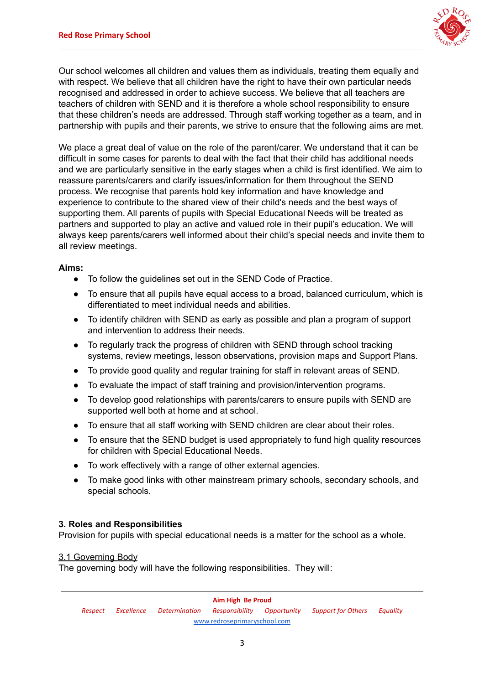

Our school welcomes all children and values them as individuals, treating them equally and with respect. We believe that all children have the right to have their own particular needs recognised and addressed in order to achieve success. We believe that all teachers are teachers of children with SEND and it is therefore a whole school responsibility to ensure that these children's needs are addressed. Through staff working together as a team, and in partnership with pupils and their parents, we strive to ensure that the following aims are met.

We place a great deal of value on the role of the parent/carer. We understand that it can be difficult in some cases for parents to deal with the fact that their child has additional needs and we are particularly sensitive in the early stages when a child is first identified. We aim to reassure parents/carers and clarify issues/information for them throughout the SEND process. We recognise that parents hold key information and have knowledge and experience to contribute to the shared view of their child's needs and the best ways of supporting them. All parents of pupils with Special Educational Needs will be treated as partners and supported to play an active and valued role in their pupil's education. We will always keep parents/carers well informed about their child's special needs and invite them to all review meetings.

## **Aims:**

- To follow the guidelines set out in the SEND Code of Practice.
- To ensure that all pupils have equal access to a broad, balanced curriculum, which is differentiated to meet individual needs and abilities.
- To identify children with SEND as early as possible and plan a program of support and intervention to address their needs.
- To regularly track the progress of children with SEND through school tracking systems, review meetings, lesson observations, provision maps and Support Plans.
- To provide good quality and regular training for staff in relevant areas of SEND.
- To evaluate the impact of staff training and provision/intervention programs.
- To develop good relationships with parents/carers to ensure pupils with SEND are supported well both at home and at school.
- To ensure that all staff working with SEND children are clear about their roles.
- To ensure that the SEND budget is used appropriately to fund high quality resources for children with Special Educational Needs.
- To work effectively with a range of other external agencies.
- To make good links with other mainstream primary schools, secondary schools, and special schools.

#### **3. Roles and Responsibilities**

Provision for pupils with special educational needs is a matter for the school as a whole.

#### 3.1 Governing Body

The governing body will have the following responsibilities. They will: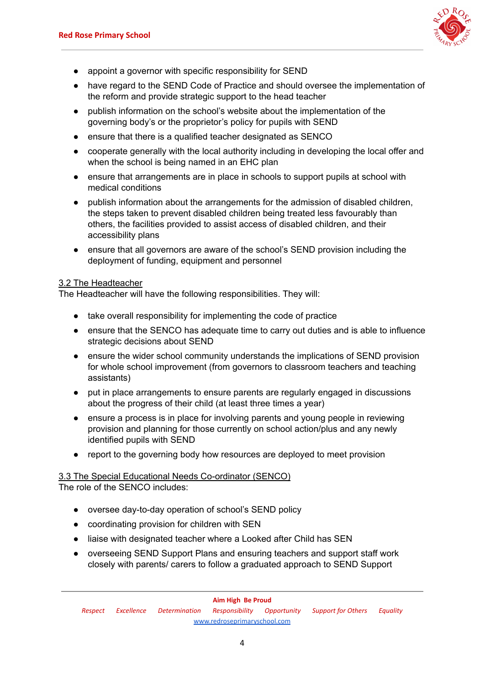

- appoint a governor with specific responsibility for SEND
- have regard to the SEND Code of Practice and should oversee the implementation of the reform and provide strategic support to the head teacher
- publish information on the school's website about the implementation of the governing body's or the proprietor's policy for pupils with SEND
- ensure that there is a qualified teacher designated as SENCO
- cooperate generally with the local authority including in developing the local offer and when the school is being named in an EHC plan
- ensure that arrangements are in place in schools to support pupils at school with medical conditions
- publish information about the arrangements for the admission of disabled children, the steps taken to prevent disabled children being treated less favourably than others, the facilities provided to assist access of disabled children, and their accessibility plans
- ensure that all governors are aware of the school's SEND provision including the deployment of funding, equipment and personnel

#### 3.2 The Headteacher

The Headteacher will have the following responsibilities. They will:

- take overall responsibility for implementing the code of practice
- ensure that the SENCO has adequate time to carry out duties and is able to influence strategic decisions about SEND
- ensure the wider school community understands the implications of SEND provision for whole school improvement (from governors to classroom teachers and teaching assistants)
- put in place arrangements to ensure parents are regularly engaged in discussions about the progress of their child (at least three times a year)
- ensure a process is in place for involving parents and young people in reviewing provision and planning for those currently on school action/plus and any newly identified pupils with SEND
- report to the governing body how resources are deployed to meet provision

#### 3.3 The Special Educational Needs Co-ordinator (SENCO) The role of the SENCO includes:

- oversee day-to-day operation of school's SEND policy
- coordinating provision for children with SEN
- liaise with designated teacher where a Looked after Child has SEN
- overseeing SEND Support Plans and ensuring teachers and support staff work closely with parents/ carers to follow a graduated approach to SEND Support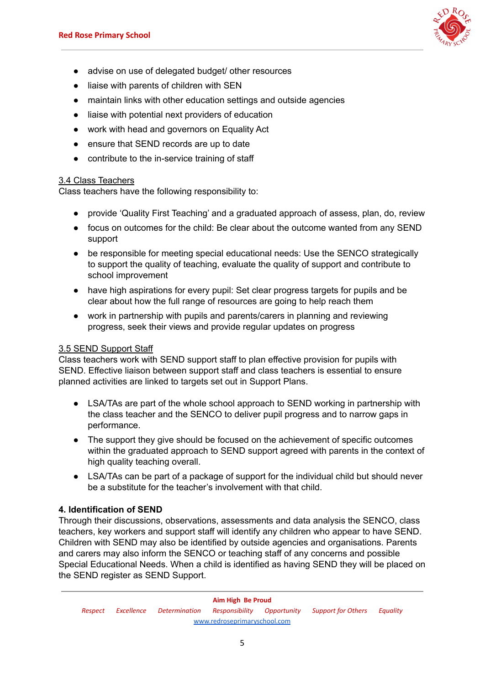

- advise on use of delegated budget/ other resources
- liaise with parents of children with SEN
- maintain links with other education settings and outside agencies
- liaise with potential next providers of education
- work with head and governors on Equality Act
- ensure that SEND records are up to date
- contribute to the in-service training of staff

## 3.4 Class Teachers

Class teachers have the following responsibility to:

- provide 'Quality First Teaching' and a graduated approach of assess, plan, do, review
- focus on outcomes for the child: Be clear about the outcome wanted from any SEND support
- be responsible for meeting special educational needs: Use the SENCO strategically to support the quality of teaching, evaluate the quality of support and contribute to school improvement
- have high aspirations for every pupil: Set clear progress targets for pupils and be clear about how the full range of resources are going to help reach them
- work in partnership with pupils and parents/carers in planning and reviewing progress, seek their views and provide regular updates on progress

## 3.5 SEND Support Staff

Class teachers work with SEND support staff to plan effective provision for pupils with SEND. Effective liaison between support staff and class teachers is essential to ensure planned activities are linked to targets set out in Support Plans.

- LSA/TAs are part of the whole school approach to SEND working in partnership with the class teacher and the SENCO to deliver pupil progress and to narrow gaps in performance.
- The support they give should be focused on the achievement of specific outcomes within the graduated approach to SEND support agreed with parents in the context of high quality teaching overall.
- LSA/TAs can be part of a package of support for the individual child but should never be a substitute for the teacher's involvement with that child.

## **4. Identification of SEND**

Through their discussions, observations, assessments and data analysis the SENCO, class teachers, key workers and support staff will identify any children who appear to have SEND. Children with SEND may also be identified by outside agencies and organisations. Parents and carers may also inform the SENCO or teaching staff of any concerns and possible Special Educational Needs. When a child is identified as having SEND they will be placed on the SEND register as SEND Support.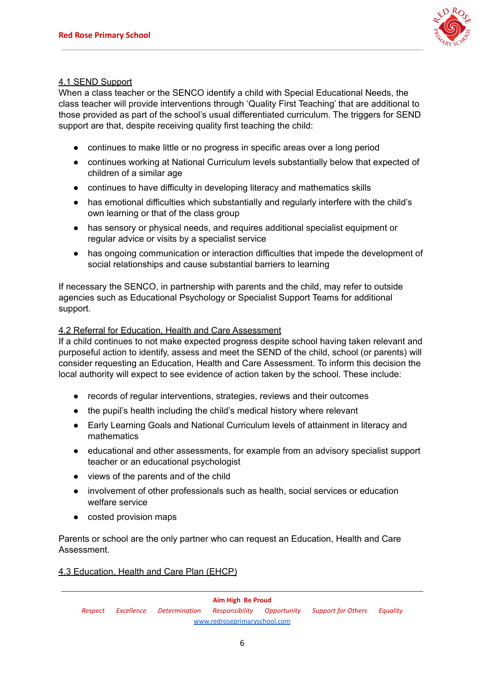

## 4.1 SEND Support

When a class teacher or the SENCO identify a child with Special Educational Needs, the class teacher will provide interventions through 'Quality First Teaching' that are additional to those provided as part of the school's usual differentiated curriculum. The triggers for SEND support are that, despite receiving quality first teaching the child:

- continues to make little or no progress in specific areas over a long period
- continues working at National Curriculum levels substantially below that expected of children of a similar age
- continues to have difficulty in developing literacy and mathematics skills
- has emotional difficulties which substantially and regularly interfere with the child's own learning or that of the class group
- has sensory or physical needs, and requires additional specialist equipment or regular advice or visits by a specialist service
- has ongoing communication or interaction difficulties that impede the development of social relationships and cause substantial barriers to learning

If necessary the SENCO, in partnership with parents and the child, may refer to outside agencies such as Educational Psychology or Specialist Support Teams for additional support.

## 4.2 Referral for Education, Health and Care Assessment

If a child continues to not make expected progress despite school having taken relevant and purposeful action to identify, assess and meet the SEND of the child, school (or parents) will consider requesting an Education, Health and Care Assessment. To inform this decision the local authority will expect to see evidence of action taken by the school. These include:

- records of regular interventions, strategies, reviews and their outcomes
- the pupil's health including the child's medical history where relevant
- Early Learning Goals and National Curriculum levels of attainment in literacy and mathematics
- educational and other assessments, for example from an advisory specialist support teacher or an educational psychologist
- views of the parents and of the child
- involvement of other professionals such as health, social services or education welfare service
- costed provision maps

Parents or school are the only partner who can request an Education, Health and Care Assessment.

4.3 Education, Health and Care Plan (EHCP)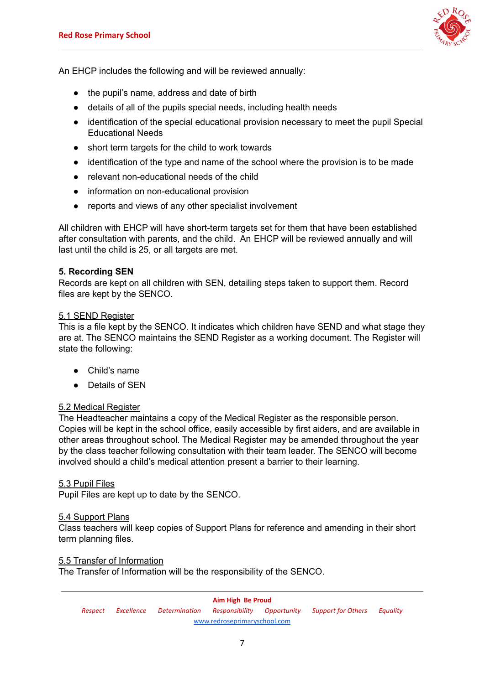

An EHCP includes the following and will be reviewed annually:

- the pupil's name, address and date of birth
- details of all of the pupils special needs, including health needs
- identification of the special educational provision necessary to meet the pupil Special Educational Needs
- short term targets for the child to work towards
- identification of the type and name of the school where the provision is to be made
- relevant non-educational needs of the child
- information on non-educational provision
- reports and views of any other specialist involvement

All children with EHCP will have short-term targets set for them that have been established after consultation with parents, and the child. An EHCP will be reviewed annually and will last until the child is 25, or all targets are met.

## **5. Recording SEN**

Records are kept on all children with SEN, detailing steps taken to support them. Record files are kept by the SENCO.

#### 5.1 SEND Register

This is a file kept by the SENCO. It indicates which children have SEND and what stage they are at. The SENCO maintains the SEND Register as a working document. The Register will state the following:

- Child's name
- Details of SEN

## 5.2 Medical Register

The Headteacher maintains a copy of the Medical Register as the responsible person. Copies will be kept in the school office, easily accessible by first aiders, and are available in other areas throughout school. The Medical Register may be amended throughout the year by the class teacher following consultation with their team leader. The SENCO will become involved should a child's medical attention present a barrier to their learning.

## 5.3 Pupil Files

Pupil Files are kept up to date by the SENCO.

## 5.4 Support Plans

Class teachers will keep copies of Support Plans for reference and amending in their short term planning files.

#### 5.5 Transfer of Information

The Transfer of Information will be the responsibility of the SENCO.